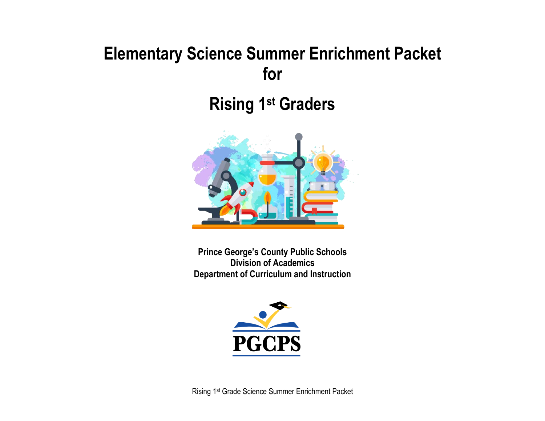# **Elementary Science Summer Enrichment Packet for**

# **Rising 1 st Graders**



**Prince George's County Public Schools Division of Academics Department of Curriculum and Instruction**

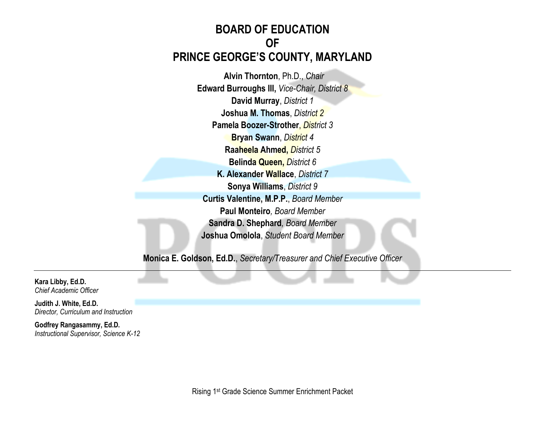# **BOARD OF EDUCATION OF PRINCE GEORGE'S COUNTY, MARYLAND**

**Alvin Thornton**, Ph.D., *Chair* **Edward Burroughs III,** *Vice-Chair, District 8* **David Murray**, *District 1* **Joshua M. Thomas**, *District 2* **Pamela Boozer-Strother**, *District 3* **Bryan Swann**, *District 4* **Raaheela Ahmed,** *District 5* **Belinda Queen,** *District 6* **K. Alexander Wallace**, *District 7* **Sonya Williams**, *District 9* **Curtis Valentine, M.P.P.**, *Board Member* **Paul Monteiro***, Board Member* **Sandra D. Shephard***, Board Member* **Joshua Omolola**, *Student Board Member*

**Monica E. Goldson, Ed.D.**, *Secretary/Treasurer and Chief Executive Officer*

**Kara Libby, Ed.D.** *Chief Academic Officer*

**Judith J. White, Ed.D.** *Director, Curriculum and Instruction*

**Godfrey Rangasammy, Ed.D.** *Instructional Supervisor, Science K-12*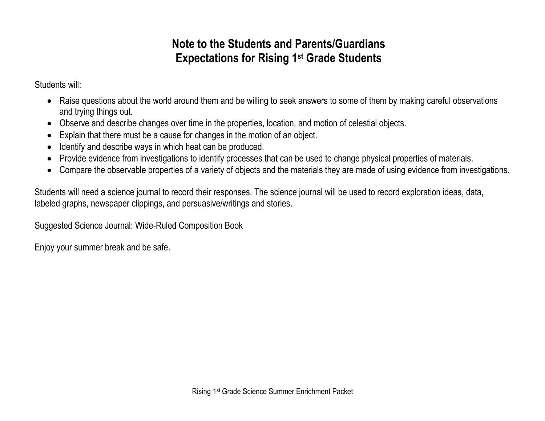# **Note to the Students and Parents/Guardians Expectations for Rising 1st Grade Students**

Students will:

- Raise questions about the world around them and be willing to seek answers to some of them by making careful observations and trying things out.
- Observe and describe changes over time in the properties, location, and motion of celestial objects.
- Explain that there must be a cause for changes in the motion of an object.
- Identify and describe ways in which heat can be produced.
- Provide evidence from investigations to identify processes that can be used to change physical properties of materials.
- Compare the observable properties of a variety of objects and the materials they are made of using evidence from investigations.

Students will need a science journal to record their responses. The science journal will be used to record exploration ideas, data, labeled graphs, newspaper clippings, and persuasive/writings and stories.

Suggested Science Journal: Wide-Ruled Composition Book

Enjoy your summer break and be safe.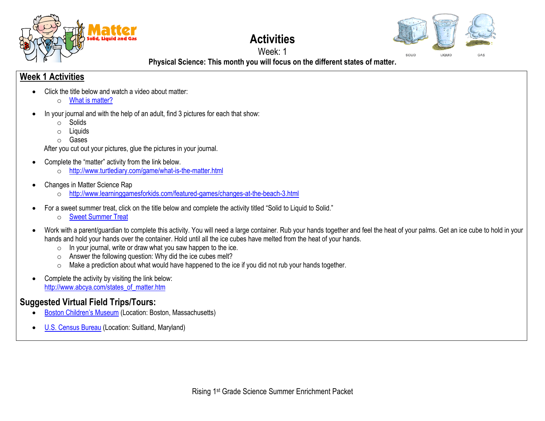



**Physical Science: This month you will focus on the different states of matter.**

## **Week 1 Activities**

- Click the title below and watch a video about matter:
	- o [What is matter?](https://www.youtube.com/watch?v=7mGxgvFa-5Q)
- In your journal and with the help of an adult, find 3 pictures for each that show:
	- o Solids
	- $\circ$  Liquids
	- o Gases

After you cut out your pictures, glue the pictures in your journal.

- Complete the "matter" activity from the link below.
	- o <http://www.turtlediary.com/game/what-is-the-matter.html>
- Changes in Matter Science Rap
	- o <http://www.learninggamesforkids.com/featured-games/changes-at-the-beach-3.html>
- For a sweet summer treat, click on the title below and complete the activity titled "Solid to Liquid to Solid."
	- o [Sweet Summer Treat](https://docs.google.com/document/d/1vj2FAal6-fWzQWUQnYTfwHOCw3RW1Y02_91ahahffyw/edit?usp=sharing)
- Work with a parent/guardian to complete this activity. You will need a large container. Rub your hands together and feel the heat of your palms. Get an ice cube to hold in your hands and hold your hands over the container. Hold until all the ice cubes have melted from the heat of your hands.
	- $\circ$  In your journal, write or draw what you saw happen to the ice.
	- o Answer the following question: Why did the ice cubes melt?
	- o Make a prediction about what would have happened to the ice if you did not rub your hands together.
- Complete the activity by visiting the link below: [http://www.abcya.com/states\\_of\\_matter.htm](http://www.abcya.com/states_of_matter.htm)

# **Suggested Virtual Field Trips/Tours:**

- [Boston Children's Museum](https://www.bostonchildrensmuseum.org/museum-virtual-tour) (Location: Boston, Massachusetts)
- [U.S. Census Bureau](https://www.census.gov/library/video/2020/mission-census-virtual-field-trip-to-the-census-bureau.html) (Location: Suitland, Maryland)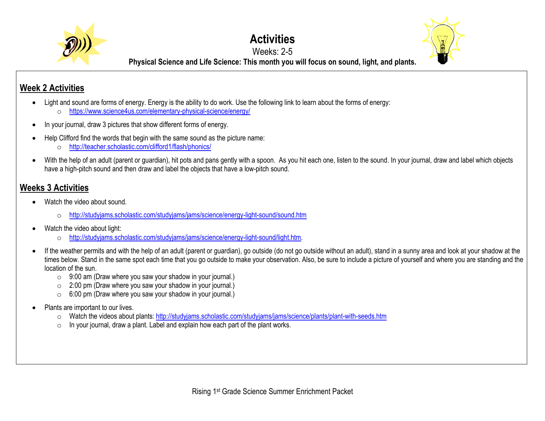

# **Activities**



Weeks: 2-5

**Physical Science and Life Science: This month you will focus on sound, light, and plants.**

# **Week 2 Activities**

- Light and sound are forms of energy. Energy is the ability to do work. Use the following link to learn about the forms of energy:
	- o <https://www.science4us.com/elementary-physical-science/energy/>
- In your journal, draw 3 pictures that show different forms of energy.
- Help Clifford find the words that begin with the same sound as the picture name:
	- o <http://teacher.scholastic.com/clifford1/flash/phonics/>
- With the help of an adult (parent or guardian), hit pots and pans gently with a spoon. As you hit each one, listen to the sound. In your journal, draw and label which objects have a high-pitch sound and then draw and label the objects that have a low-pitch sound.

## **Weeks 3 Activities**

- Watch the video about sound.
	- o <http://studyjams.scholastic.com/studyjams/jams/science/energy-light-sound/sound.htm>
- Watch the video about light:
	- o [http://studyjams.scholastic.com/studyjams/jams/science/energy-light-sound/light.htm.](http://studyjams.scholastic.com/studyjams/jams/science/energy-light-sound/light.htm)
- If the weather permits and with the help of an adult (parent or guardian), go outside (do not go outside without an adult), stand in a sunny area and look at your shadow at the times below. Stand in the same spot each time that you go outside to make your observation. Also, be sure to include a picture of yourself and where you are standing and the location of the sun.
	- $\circ$  9:00 am (Draw where you saw your shadow in your journal.)
	- o 2:00 pm (Draw where you saw your shadow in your journal.)
	- o 6:00 pm (Draw where you saw your shadow in your journal.)
- Plants are important to our lives.
	- o Watch the videos about plants[: http://studyjams.scholastic.com/studyjams/jams/science/plants/plant-with-seeds.htm](http://studyjams.scholastic.com/studyjams/jams/science/plants/plant-with-seeds.htm)
	- o In your journal, draw a plant. Label and explain how each part of the plant works.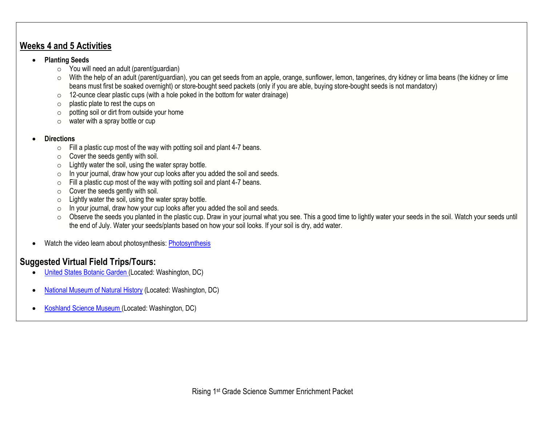#### **Weeks 4 and 5 Activities**

#### • **Planting Seeds**

- $\circ$  You will need an adult (parent/guardian)
- o With the help of an adult (parent/guardian), you can get seeds from an apple, orange, sunflower, lemon, tangerines, dry kidney or lima beans (the kidney or lime beans must first be soaked overnight) or store-bought seed packets (only if you are able, buying store-bought seeds is not mandatory)
- $\circ$  12-ounce clear plastic cups (with a hole poked in the bottom for water drainage)
- o plastic plate to rest the cups on
- $\circ$  potting soil or dirt from outside your home
- $\circ$  water with a spray bottle or cup

#### • **Directions**

- $\circ$  Fill a plastic cup most of the way with potting soil and plant 4-7 beans.
- $\circ$  Cover the seeds gently with soil.
- $\circ$  Lightly water the soil, using the water spray bottle.
- o In your journal, draw how your cup looks after you added the soil and seeds.
- $\circ$  Fill a plastic cup most of the way with potting soil and plant 4-7 beans.
- $\circ$  Cover the seeds gently with soil.
- $\circ$  Lightly water the soil, using the water spray bottle.
- o In your journal, draw how your cup looks after you added the soil and seeds.
- o Observe the seeds you planted in the plastic cup. Draw in your journal what you see. This a good time to lightly water your seeds in the soil. Watch your seeds until the end of July. Water your seeds/plants based on how your soil looks. If your soil is dry, add water.
- Watch the video learn about photosynthesis: [Photosynthesis](http://studyjams.scholastic.com/studyjams/jams/science/plants/photosynthesis.htm)

### **Suggested Virtual Field Trips/Tours:**

- [United States Botanic Garden](https://www.usbg.gov/take-virtual-tour) (Located: Washington, DC)
- [National Museum of Natural](https://naturalhistory.si.edu/search/virtual%2Btour) History (Located: Washington, DC)
- [Koshland Science Museum](https://www.koshland-science-museum.org/) (Located: Washington, DC)